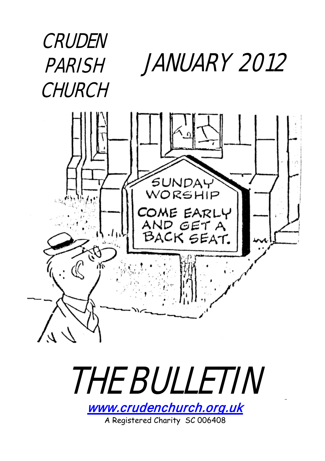### JANUARY 2012 CRUDEN **PARISH CHURCH**





A Registered Charity SC 006408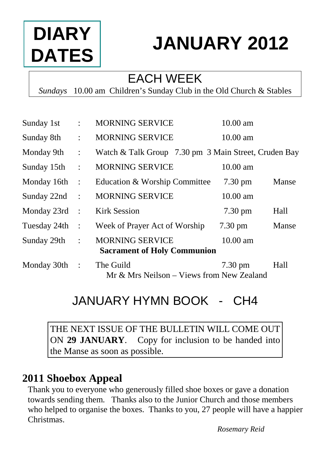# **DIARY DATES**

# **JANUARY 2012**

#### EACH WEEK

*Sundays* 10.00 am Children's Sunday Club in the Old Church & Stables

| Sunday 1st      | $\ddot{\phantom{a}}$ | <b>MORNING SERVICE</b>                                       | 10.00 am          |       |
|-----------------|----------------------|--------------------------------------------------------------|-------------------|-------|
| Sunday 8th      | $\ddot{\cdot}$       | <b>MORNING SERVICE</b>                                       | $10.00$ am        |       |
| Monday 9th      | $\ddot{\cdot}$       | Watch & Talk Group 7.30 pm 3 Main Street, Cruden Bay         |                   |       |
| Sunday 15th     | ٠                    | <b>MORNING SERVICE</b>                                       | 10.00 am          |       |
| Monday 16th     | $\ddot{\cdot}$       | Education & Worship Committee                                | $7.30 \text{ pm}$ | Manse |
| Sunday 22nd     | $\ddot{\cdot}$       | <b>MORNING SERVICE</b>                                       | 10.00 am          |       |
| Monday 23rd     | $\ddot{\cdot}$       | <b>Kirk Session</b>                                          | $7.30 \text{ pm}$ | Hall  |
| Tuesday 24th    | $\cdot$ :            | Week of Prayer Act of Worship                                | $7.30 \text{ pm}$ | Manse |
| Sunday 29th     | $\ddot{\phantom{a}}$ | <b>MORNING SERVICE</b><br><b>Sacrament of Holy Communion</b> | $10.00$ am        |       |
| Monday $30th$ : |                      | The Guild<br>Mr & Mrs Neilson - Views from New Zealand       | $7.30 \text{ pm}$ | Hall  |

### JANUARY HYMN BOOK - CH4

THE NEXT ISSUE OF THE BULLETIN WILL COME OUT ON **29 JANUARY**. Copy for inclusion to be handed into the Manse as soon as possible.

#### **2011 Shoebox Appeal**

Thank you to everyone who generously filled shoe boxes or gave a donation towards sending them. Thanks also to the Junior Church and those members who helped to organise the boxes. Thanks to you, 27 people will have a happier Christmas.

*Rosemary Reid*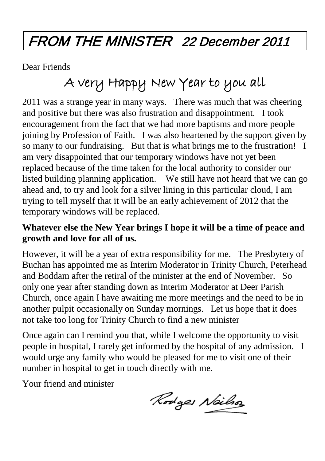### FROM THE MINISTER 22 December 2011

Dear Friends

### A very Happy New Year to you all

2011 was a strange year in many ways. There was much that was cheering and positive but there was also frustration and disappointment. I took encouragement from the fact that we had more baptisms and more people joining by Profession of Faith. I was also heartened by the support given by so many to our fundraising. But that is what brings me to the frustration! I am very disappointed that our temporary windows have not yet been replaced because of the time taken for the local authority to consider our listed building planning application. We still have not heard that we can go ahead and, to try and look for a silver lining in this particular cloud, I am trying to tell myself that it will be an early achievement of 2012 that the temporary windows will be replaced.

#### **Whatever else the New Year brings I hope it will be a time of peace and growth and love for all of us.**

However, it will be a year of extra responsibility for me. The Presbytery of Buchan has appointed me as Interim Moderator in Trinity Church, Peterhead and Boddam after the retiral of the minister at the end of November. So only one year after standing down as Interim Moderator at Deer Parish Church, once again I have awaiting me more meetings and the need to be in another pulpit occasionally on Sunday mornings. Let us hope that it does not take too long for Trinity Church to find a new minister

Once again can I remind you that, while I welcome the opportunity to visit people in hospital, I rarely get informed by the hospital of any admission. I would urge any family who would be pleased for me to visit one of their number in hospital to get in touch directly with me.

Your friend and minister

Rodges Nailso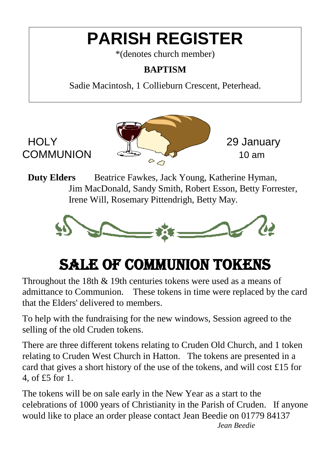## **PARISH REGISTER**

\*(denotes church member)

#### **BAPTISM**

Sadie Macintosh, 1 Collieburn Crescent, Peterhead.



**Duty Elders** Beatrice Fawkes, Jack Young, Katherine Hyman, Jim MacDonald, Sandy Smith, Robert Esson, Betty Forrester, Irene Will, Rosemary Pittendrigh, Betty May.



## SALE OF COMMUNION TOKENS

Throughout the 18th & 19th centuries tokens were used as a means of admittance to Communion. These tokens in time were replaced by the card that the Elders' delivered to members.

To help with the fundraising for the new windows, Session agreed to the selling of the old Cruden tokens.

There are three different tokens relating to Cruden Old Church, and 1 token relating to Cruden West Church in Hatton. The tokens are presented in a card that gives a short history of the use of the tokens, and will cost £15 for 4, of £5 for 1.

The tokens will be on sale early in the New Year as a start to the celebrations of 1000 years of Christianity in the Parish of Cruden. If anyone would like to place an order please contact Jean Beedie on 01779 84137 *Jean Beedie*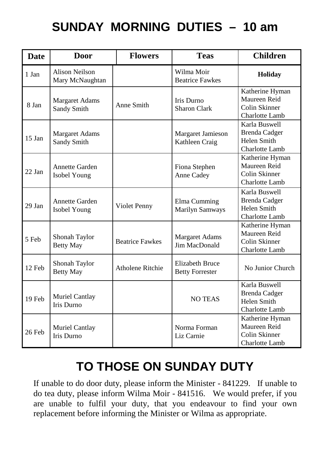### **SUNDAY MORNING DUTIES – 10 am**

| <b>Date</b> | Door                                     | <b>Flowers</b>         | <b>Teas</b>                                      | <b>Children</b>                                                               |
|-------------|------------------------------------------|------------------------|--------------------------------------------------|-------------------------------------------------------------------------------|
| 1 Jan       | <b>Alison Neilson</b><br>Mary McNaughtan |                        | Wilma Moir<br><b>Beatrice Fawkes</b>             | Holiday                                                                       |
| 8 Jan       | <b>Margaret Adams</b><br>Sandy Smith     | Anne Smith             | Iris Durno<br><b>Sharon Clark</b>                | Katherine Hyman<br>Maureen Reid<br>Colin Skinner<br><b>Charlotte Lamb</b>     |
| $15$ Jan    | <b>Margaret Adams</b><br>Sandy Smith     |                        | Margaret Jamieson<br>Kathleen Craig              | Karla Buswell<br><b>Brenda Cadger</b><br>Helen Smith<br>Charlotte Lamb        |
| $22$ Jan    | Annette Garden<br>Isobel Young           |                        | Fiona Stephen<br>Anne Cadey                      | Katherine Hyman<br>Maureen Reid<br>Colin Skinner<br>Charlotte Lamb            |
| $29$ Jan    | Annette Garden<br>Isobel Young           | Violet Penny           | Elma Cumming<br>Marilyn Samways                  | Karla Buswell<br><b>Brenda Cadger</b><br>Helen Smith<br><b>Charlotte Lamb</b> |
| 5 Feb       | Shonah Taylor<br><b>Betty May</b>        | <b>Beatrice Fawkes</b> | <b>Margaret Adams</b><br>Jim MacDonald           | Katherine Hyman<br>Maureen Reid<br>Colin Skinner<br><b>Charlotte Lamb</b>     |
| 12 Feb      | Shonah Taylor<br><b>Betty May</b>        | Atholene Ritchie       | <b>Elizabeth Bruce</b><br><b>Betty Forrester</b> | No Junior Church                                                              |
| 19 Feb      | Muriel Cantlay<br>Iris Durno             |                        | <b>NO TEAS</b>                                   | Karla Buswell<br><b>Brenda Cadger</b><br>Helen Smith<br>Charlotte Lamb        |
| 26 Feb      | Muriel Cantlay<br><b>Iris Durno</b>      |                        | Norma Forman<br>Liz Carnie                       | Katherine Hyman<br>Maureen Reid<br>Colin Skinner<br><b>Charlotte Lamb</b>     |

### **TO THOSE ON SUNDAY DUTY**

If unable to do door duty, please inform the Minister - 841229. If unable to do tea duty, please inform Wilma Moir - 841516. We would prefer, if you are unable to fulfil your duty, that you endeavour to find your own replacement before informing the Minister or Wilma as appropriate.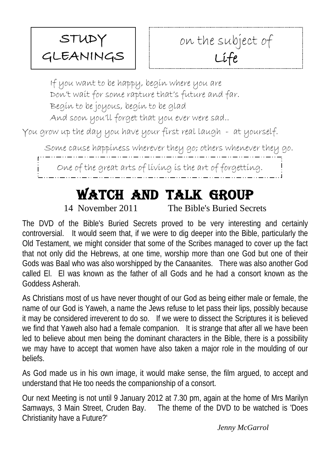

If you want to be happy, begin where you are Don't wait for some rapture that's future and far. Begin to be joyous, begin to be glad And soon you'll forget that you ever were sad..

You grow up the day you have your first real laugh - at yourself.

Some cause happiness wherever they go; others whenever they go.

One of the great arts of living is the art of forgetting.

### Watch And Talk Group

14 November 2011 The Bible's Buried Secrets

The DVD of the Bible's Buried Secrets proved to be very interesting and certainly controversial. It would seem that, if we were to dig deeper into the Bible, particularly the Old Testament, we might consider that some of the Scribes managed to cover up the fact that not only did the Hebrews, at one time, worship more than one God but one of their Gods was Baal who was also worshipped by the Canaanites. There was also another God called El. El was known as the father of all Gods and he had a consort known as the Goddess Asherah.

As Christians most of us have never thought of our God as being either male or female, the name of our God is Yaweh, a name the Jews refuse to let pass their lips, possibly because it may be considered irreverent to do so. If we were to dissect the Scriptures it is believed we find that Yaweh also had a female companion. It is strange that after all we have been led to believe about men being the dominant characters in the Bible, there is a possibility we may have to accept that women have also taken a major role in the moulding of our beliefs.

As God made us in his own image, it would make sense, the film argued, to accept and understand that He too needs the companionship of a consort.

Our next Meeting is not until 9 January 2012 at 7.30 pm, again at the home of Mrs Marilyn The theme of the DVD to be watched is 'Does Christianity have a Future?'

*Jenny McGarrol*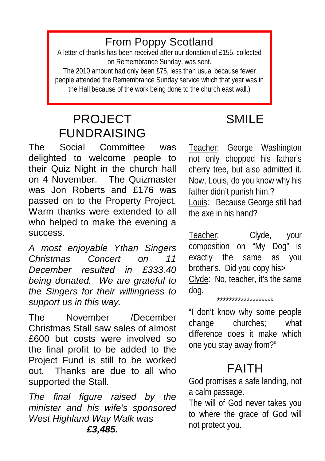#### From Poppy Scotland

A letter of thanks has been received after our donation of £155, collected on Remembrance Sunday, was sent.

The 2010 amount had only been £75, less than usual because fewer people attended the Remembrance Sunday service which that year was in the Hall because of the work being done to the church east wall.)

### PROJECT FUNDRAISING

The Social Committee was delighted to welcome people to their Quiz Night in the church hall on 4 November. The Quizmaster was Jon Roberts and £176 was passed on to the Property Project. Warm thanks were extended to all who helped to make the evening a success.

*A most enjoyable Ythan Singers Christmas Concert on 11 December resulted in £333.40 being donated. We are grateful to the Singers for their willingness to support us in this way.*

The November /December Christmas Stall saw sales of almost £600 but costs were involved so the final profit to be added to the Project Fund is still to be worked out. Thanks are due to all who supported the Stall.

*The final figure raised by the minister and his wife's sponsored West Highland Way Walk was £3,485.*

### SMIL<sub>E</sub>

Teacher: George Washington not only chopped his father's cherry tree, but also admitted it. Now, Louis, do you know why his father didn't punish him.?

Louis: Because George still had the axe in his hand?

Teacher: Clyde, your composition on "My Dog" is exactly the same as you brother's. Did you copy his> Clyde: No, teacher, it's the same dog.

"I don't know why some people change churches; what difference does it make which one you stay away from?"

\*\*\*\*\*\*\*\*\*\*\*\*\*\*\*\*\*\*\*

### FAITH

God promises a safe landing, not a calm passage.

The will of God never takes you to where the grace of God will not protect you.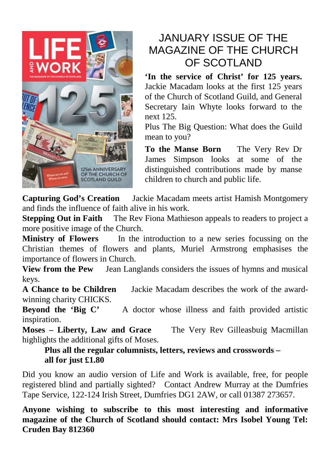

#### JANUARY ISSUE OF THE MAGAZINE OF THE CHURCH OF SCOTLAND

**'In the service of Christ' for 125 years.**  Jackie Macadam looks at the first 125 years of the Church of Scotland Guild, and General Secretary Iain Whyte looks forward to the next 125.

Plus The Big Question: What does the Guild mean to you?

**To the Manse Born** The Very Rev Dr James Simpson looks at some of the distinguished contributions made by manse children to church and public life.

**Capturing God's Creation** Jackie Macadam meets artist Hamish Montgomery and finds the influence of faith alive in his work.

**Stepping Out in Faith** The Rev Fiona Mathieson appeals to readers to project a more positive image of the Church.

**Ministry of Flowers** In the introduction to a new series focussing on the Christian themes of flowers and plants, Muriel Armstrong emphasises the importance of flowers in Church.

**View from the Pew** Jean Langlands considers the issues of hymns and musical keys.

**A Chance to be Children** Jackie Macadam describes the work of the awardwinning charity CHICKS.

**Beyond the 'Big C'** A doctor whose illness and faith provided artistic inspiration.

**Moses – Liberty, Law and Grace** The Very Rev Gilleasbuig Macmillan highlights the additional gifts of Moses.

**Plus all the regular columnists, letters, reviews and crosswords – all for just £1.80**

Did you know an audio version of Life and Work is available, free, for people registered blind and partially sighted? Contact Andrew Murray at the Dumfries Tape Service, 122-124 Irish Street, Dumfries DG1 2AW, or call 01387 273657.

**Anyone wishing to subscribe to this most interesting and informative magazine of the Church of Scotland should contact: Mrs Isobel Young Tel: Cruden Bay 812360**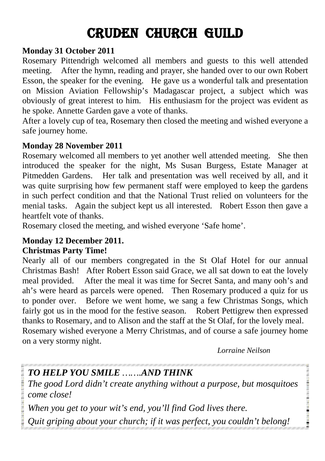### CRUDEN CHURCH GUILD

#### **Monday 31 October 2011**

Rosemary Pittendrigh welcomed all members and guests to this well attended meeting. After the hymn, reading and prayer, she handed over to our own Robert Esson, the speaker for the evening. He gave us a wonderful talk and presentation on Mission Aviation Fellowship's Madagascar project, a subject which was obviously of great interest to him. His enthusiasm for the project was evident as he spoke. Annette Garden gave a vote of thanks.

After a lovely cup of tea, Rosemary then closed the meeting and wished everyone a safe journey home.

#### **Monday 28 November 2011**

Rosemary welcomed all members to yet another well attended meeting. She then introduced the speaker for the night, Ms Susan Burgess, Estate Manager at Pitmedden Gardens. Her talk and presentation was well received by all, and it was quite surprising how few permanent staff were employed to keep the gardens in such perfect condition and that the National Trust relied on volunteers for the menial tasks. Again the subject kept us all interested. Robert Esson then gave a heartfelt vote of thanks.

Rosemary closed the meeting, and wished everyone 'Safe home'.

#### **Monday 12 December 2011.**

#### **Christmas Party Time!**

Nearly all of our members congregated in the St Olaf Hotel for our annual Christmas Bash! After Robert Esson said Grace, we all sat down to eat the lovely meal provided. After the meal it was time for Secret Santa, and many ooh's and ah's were heard as parcels were opened. Then Rosemary produced a quiz for us to ponder over. Before we went home, we sang a few Christmas Songs, which fairly got us in the mood for the festive season. Robert Pettigrew then expressed thanks to Rosemary, and to Alison and the staff at the St Olaf, for the lovely meal. Rosemary wished everyone a Merry Christmas, and of course a safe journey home on a very stormy night.

*Lorraine Neilson*

**RESPONDED MANAGEMENT CONTROLS IN A 2005 FOR** 

#### *TO HELP YOU SMILE …….AND THINK*

*The good Lord didn't create anything without a purpose, but mosquitoes come close!*

*When you get to your wit's end, you'll find God lives there.*

*Quit griping about your church; if it was perfect, you couldn't belong!*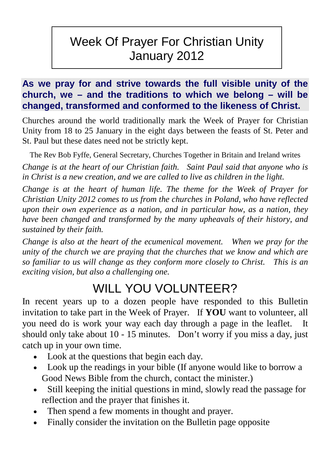#### Week Of Prayer For Christian Unity January 2012

#### **As we pray for and strive towards the full visible unity of the church, we – and the traditions to which we belong – will be changed, transformed and conformed to the likeness of Christ.**

Churches around the world traditionally mark the Week of Prayer for Christian Unity from 18 to 25 January in the eight days between the feasts of St. Peter and St. Paul but these dates need not be strictly kept.

The Rev Bob Fyffe, General Secretary, Churches Together in Britain and Ireland writes

*Change is at the heart of our Christian faith. Saint Paul said that anyone who is in Christ is a new creation, and we are called to live as children in the light.* 

*Change is at the heart of human life. The theme for the Week of Prayer for Christian Unity 2012 comes to us from the churches in Poland, who have reflected upon their own experience as a nation, and in particular how, as a nation, they have been changed and transformed by the many upheavals of their history, and sustained by their faith.*

*Change is also at the heart of the ecumenical movement. When we pray for the unity of the church we are praying that the churches that we know and which are so familiar to us will change as they conform more closely to Christ. This is an exciting vision, but also a challenging one.* 

#### WILL YOU VOLUNTEER?

In recent years up to a dozen people have responded to this Bulletin invitation to take part in the Week of Prayer. If **YOU** want to volunteer, all you need do is work your way each day through a page in the leaflet. It should only take about 10 - 15 minutes. Don't worry if you miss a day, just catch up in your own time.

- Look at the questions that begin each day.
- Look up the readings in your bible (If anyone would like to borrow a Good News Bible from the church, contact the minister.)
- Still keeping the initial questions in mind, slowly read the passage for reflection and the prayer that finishes it.
- Then spend a few moments in thought and prayer.
- Finally consider the invitation on the Bulletin page opposite